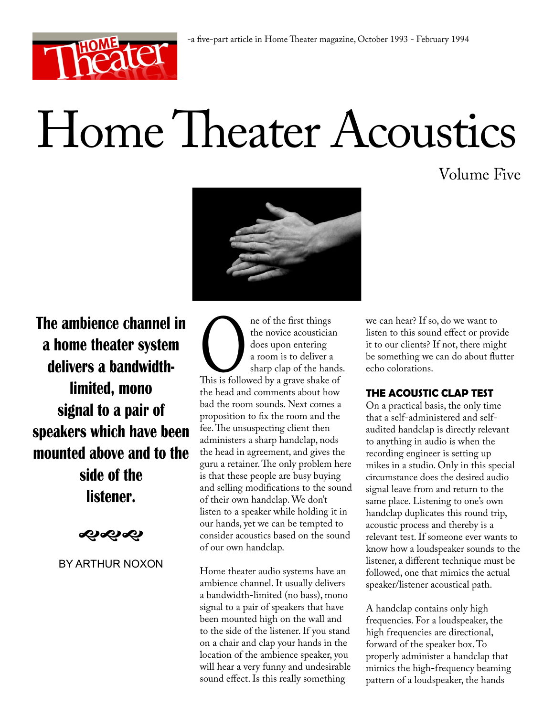

# Home Theater Acoustics

Volume Five



**The ambience channel in a home theater system delivers a bandwidthlimited, mono signal to a pair of speakers which have been mounted above and to the side of the listener.**

ややや

# BY ARTHUR NOXON

ne of the first things<br>the novice acousticial<br>does upon entering<br>a room is to deliver a<br>sharp clap of the han<br>this is followed by a grave shake of<br>the head and comments about ho the novice acoustician does upon entering a room is to deliver a sharp clap of the hands. This is followed by a grave shake of the head and comments about how bad the room sounds. Next comes a proposition to fix the room and the fee. The unsuspecting client then administers a sharp handclap, nods the head in agreement, and gives the guru a retainer. The only problem here is that these people are busy buying and selling modifications to the sound of their own handclap. We don't listen to a speaker while holding it in our hands, yet we can be tempted to consider acoustics based on the sound of our own handclap.

Home theater audio systems have an ambience channel. It usually delivers a bandwidth-limited (no bass), mono signal to a pair of speakers that have been mounted high on the wall and to the side of the listener. If you stand on a chair and clap your hands in the location of the ambience speaker, you will hear a very funny and undesirable sound effect. Is this really something

we can hear? If so, do we want to listen to this sound effect or provide it to our clients? If not, there might be something we can do about flutter echo colorations.

# **THE ACOUSTIC CLAP TEST**

On a practical basis, the only time that a self-administered and selfaudited handclap is directly relevant to anything in audio is when the recording engineer is setting up mikes in a studio. Only in this special circumstance does the desired audio signal leave from and return to the same place. Listening to one's own handclap duplicates this round trip, acoustic process and thereby is a relevant test. If someone ever wants to know how a loudspeaker sounds to the listener, a different technique must be followed, one that mimics the actual speaker/listener acoustical path.

A handclap contains only high frequencies. For a loudspeaker, the high frequencies are directional, forward of the speaker box. To properly administer a handclap that mimics the high-frequency beaming pattern of a loudspeaker, the hands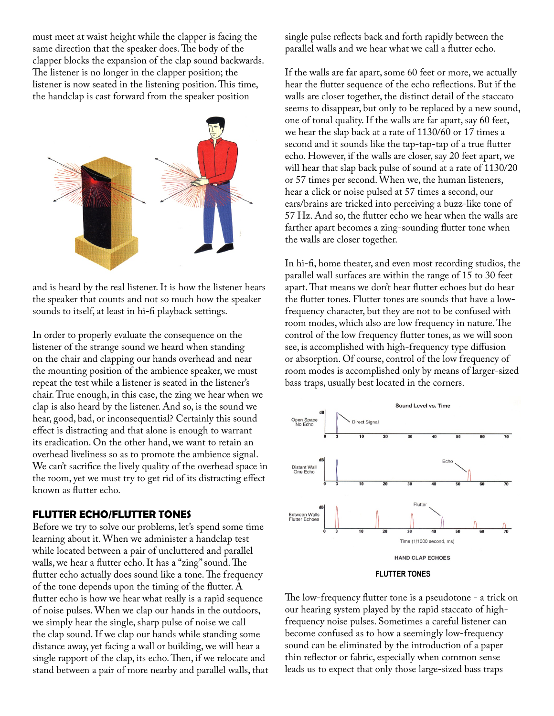must meet at waist height while the clapper is facing the same direction that the speaker does. The body of the clapper blocks the expansion of the clap sound backwards. The listener is no longer in the clapper position; the listener is now seated in the listening position. This time, the handclap is cast forward from the speaker position



and is heard by the real listener. It is how the listener hears the speaker that counts and not so much how the speaker sounds to itself, at least in hi-fi playback settings.

In order to properly evaluate the consequence on the listener of the strange sound we heard when standing on the chair and clapping our hands overhead and near the mounting position of the ambience speaker, we must repeat the test while a listener is seated in the listener's chair. True enough, in this case, the zing we hear when we clap is also heard by the listener. And so, is the sound we hear, good, bad, or inconsequential? Certainly this sound effect is distracting and that alone is enough to warrant its eradication. On the other hand, we want to retain an overhead liveliness so as to promote the ambience signal. We can't sacrifice the lively quality of the overhead space in the room, yet we must try to get rid of its distracting effect known as flutter echo.

# **FLUTTER ECHO/FLUTTER TONES**

Before we try to solve our problems, let's spend some time learning about it. When we administer a handclap test while located between a pair of uncluttered and parallel walls, we hear a flutter echo. It has a "zing" sound. The flutter echo actually does sound like a tone. The frequency of the tone depends upon the timing of the flutter. A flutter echo is how we hear what really is a rapid sequence of noise pulses. When we clap our hands in the outdoors, we simply hear the single, sharp pulse of noise we call the clap sound. If we clap our hands while standing some distance away, yet facing a wall or building, we will hear a single rapport of the clap, its echo. Then, if we relocate and stand between a pair of more nearby and parallel walls, that single pulse reflects back and forth rapidly between the parallel walls and we hear what we call a flutter echo.

If the walls are far apart, some 60 feet or more, we actually hear the flutter sequence of the echo reflections. But if the walls are closer together, the distinct detail of the staccato seems to disappear, but only to be replaced by a new sound, one of tonal quality. If the walls are far apart, say 60 feet, we hear the slap back at a rate of 1130/60 or 17 times a second and it sounds like the tap-tap-tap of a true flutter echo. However, if the walls are closer, say 20 feet apart, we will hear that slap back pulse of sound at a rate of 1130/20 or 57 times per second. When we, the human listeners, hear a click or noise pulsed at 57 times a second, our ears/brains are tricked into perceiving a buzz-like tone of 57 Hz. And so, the flutter echo we hear when the walls are farther apart becomes a zing-sounding flutter tone when the walls are closer together.

In hi-fi, home theater, and even most recording studios, the parallel wall surfaces are within the range of 15 to 30 feet apart. That means we don't hear flutter echoes but do hear the flutter tones. Flutter tones are sounds that have a lowfrequency character, but they are not to be confused with room modes, which also are low frequency in nature. The control of the low frequency flutter tones, as we will soon see, is accomplished with high-frequency type diffusion or absorption. Of course, control of the low frequency of room modes is accomplished only by means of larger-sized bass traps, usually best located in the corners.



### **FLUTTER TONES**

The low-frequency flutter tone is a pseudotone - a trick on our hearing system played by the rapid staccato of highfrequency noise pulses. Sometimes a careful listener can become confused as to how a seemingly low-frequency sound can be eliminated by the introduction of a paper thin reflector or fabric, especially when common sense leads us to expect that only those large-sized bass traps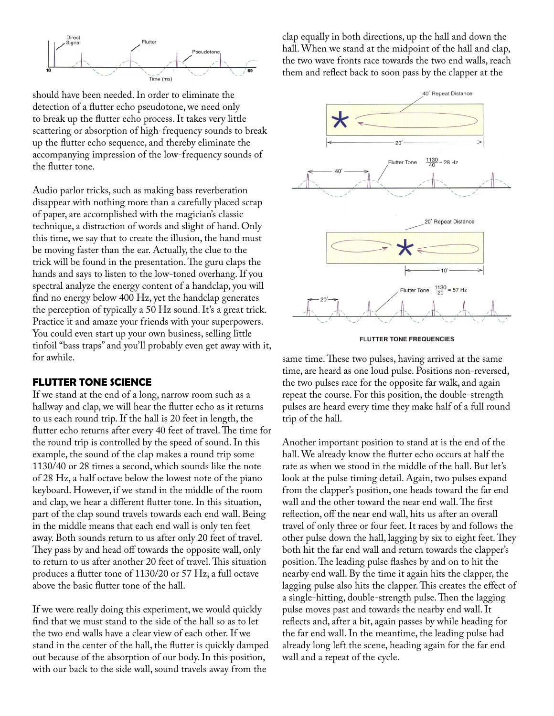

should have been needed. In order to eliminate the detection of a flutter echo pseudotone, we need only to break up the flutter echo process. It takes very little scattering or absorption of high-frequency sounds to break up the flutter echo sequence, and thereby eliminate the accompanying impression of the low-frequency sounds of the flutter tone.

Audio parlor tricks, such as making bass reverberation disappear with nothing more than a carefully placed scrap of paper, are accomplished with the magician's classic technique, a distraction of words and slight of hand. Only this time, we say that to create the illusion, the hand must be moving faster than the ear. Actually, the clue to the trick will be found in the presentation. The guru claps the hands and says to listen to the low-toned overhang. If you spectral analyze the energy content of a handclap, you will find no energy below 400 Hz, yet the handclap generates the perception of typically a 50 Hz sound. It's a great trick. Practice it and amaze your friends with your superpowers. You could even start up your own business, selling little tinfoil "bass traps" and you'll probably even get away with it, for awhile.

# **FLUTTER TONE SCIENCE**

If we stand at the end of a long, narrow room such as a hallway and clap, we will hear the flutter echo as it returns to us each round trip. If the hall is 20 feet in length, the flutter echo returns after every 40 feet of travel. The time for the round trip is controlled by the speed of sound. In this example, the sound of the clap makes a round trip some 1130/40 or 28 times a second, which sounds like the note of 28 Hz, a half octave below the lowest note of the piano keyboard. However, if we stand in the middle of the room and clap, we hear a different flutter tone. In this situation, part of the clap sound travels towards each end wall. Being in the middle means that each end wall is only ten feet away. Both sounds return to us after only 20 feet of travel. They pass by and head off towards the opposite wall, only to return to us after another 20 feet of travel. This situation produces a flutter tone of 1130/20 or 57 Hz, a full octave above the basic flutter tone of the hall.

If we were really doing this experiment, we would quickly find that we must stand to the side of the hall so as to let the two end walls have a clear view of each other. If we stand in the center of the hall, the flutter is quickly damped out because of the absorption of our body. In this position, with our back to the side wall, sound travels away from the

clap equally in both directions, up the hall and down the hall. When we stand at the midpoint of the hall and clap, the two wave fronts race towards the two end walls, reach them and reflect back to soon pass by the clapper at the



**FLUTTER TONE FREQUENCIES** 

same time. These two pulses, having arrived at the same time, are heard as one loud pulse. Positions non-reversed, the two pulses race for the opposite far walk, and again repeat the course. For this position, the double-strength pulses are heard every time they make half of a full round trip of the hall.

Another important position to stand at is the end of the hall. We already know the flutter echo occurs at half the rate as when we stood in the middle of the hall. But let's look at the pulse timing detail. Again, two pulses expand from the clapper's position, one heads toward the far end wall and the other toward the near end wall. The first reflection, off the near end wall, hits us after an overall travel of only three or four feet. It races by and follows the other pulse down the hall, lagging by six to eight feet. They both hit the far end wall and return towards the clapper's position. The leading pulse flashes by and on to hit the nearby end wall. By the time it again hits the clapper, the lagging pulse also hits the clapper. This creates the effect of a single-hitting, double-strength pulse. Then the lagging pulse moves past and towards the nearby end wall. It reflects and, after a bit, again passes by while heading for the far end wall. In the meantime, the leading pulse had already long left the scene, heading again for the far end wall and a repeat of the cycle.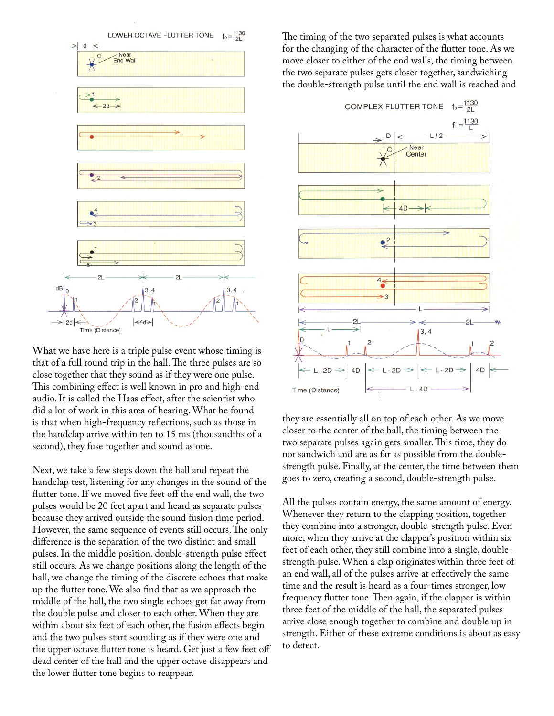

What we have here is a triple pulse event whose timing is that of a full round trip in the hall. The three pulses are so close together that they sound as if they were one pulse. This combining effect is well known in pro and high-end audio. It is called the Haas effect, after the scientist who did a lot of work in this area of hearing. What he found is that when high-frequency reflections, such as those in the handclap arrive within ten to 15 ms (thousandths of a second), they fuse together and sound as one.

Next, we take a few steps down the hall and repeat the handclap test, listening for any changes in the sound of the flutter tone. If we moved five feet off the end wall, the two pulses would be 20 feet apart and heard as separate pulses because they arrived outside the sound fusion time period. However, the same sequence of events still occurs. The only difference is the separation of the two distinct and small pulses. In the middle position, double-strength pulse effect still occurs. As we change positions along the length of the hall, we change the timing of the discrete echoes that make up the flutter tone. We also find that as we approach the middle of the hall, the two single echoes get far away from the double pulse and closer to each other. When they are within about six feet of each other, the fusion effects begin and the two pulses start sounding as if they were one and the upper octave flutter tone is heard. Get just a few feet off dead center of the hall and the upper octave disappears and the lower flutter tone begins to reappear.

The timing of the two separated pulses is what accounts for the changing of the character of the flutter tone. As we move closer to either of the end walls, the timing between the two separate pulses gets closer together, sandwiching the double-strength pulse until the end wall is reached and



they are essentially all on top of each other. As we move closer to the center of the hall, the timing between the two separate pulses again gets smaller. This time, they do not sandwich and are as far as possible from the doublestrength pulse. Finally, at the center, the time between them goes to zero, creating a second, double-strength pulse.

All the pulses contain energy, the same amount of energy. Whenever they return to the clapping position, together they combine into a stronger, double-strength pulse. Even more, when they arrive at the clapper's position within six feet of each other, they still combine into a single, doublestrength pulse. When a clap originates within three feet of an end wall, all of the pulses arrive at effectively the same time and the result is heard as a four-times stronger, low frequency flutter tone. Then again, if the clapper is within three feet of the middle of the hall, the separated pulses arrive close enough together to combine and double up in strength. Either of these extreme conditions is about as easy to detect.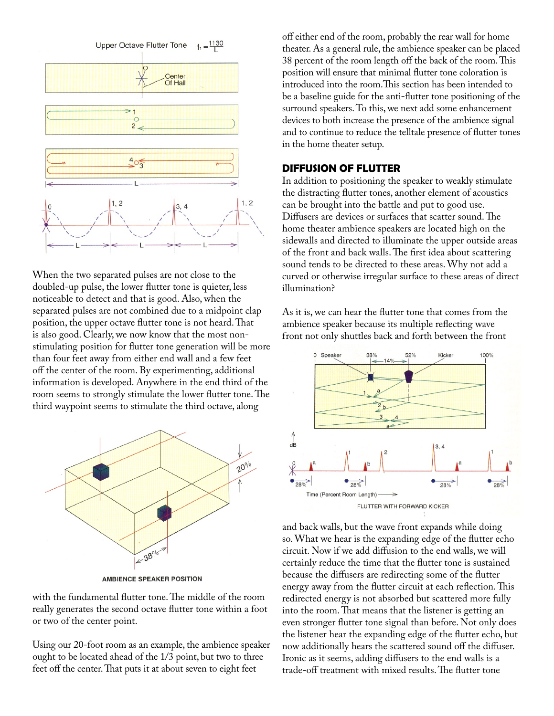

When the two separated pulses are not close to the doubled-up pulse, the lower flutter tone is quieter, less noticeable to detect and that is good. Also, when the separated pulses are not combined due to a midpoint clap position, the upper octave flutter tone is not heard. That is also good. Clearly, we now know that the most nonstimulating position for flutter tone generation will be more than four feet away from either end wall and a few feet off the center of the room. By experimenting, additional information is developed. Anywhere in the end third of the room seems to strongly stimulate the lower flutter tone. The third waypoint seems to stimulate the third octave, along



**AMBIENCE SPEAKER POSITION** 

with the fundamental flutter tone. The middle of the room really generates the second octave flutter tone within a foot or two of the center point.

Using our 20-foot room as an example, the ambience speaker ought to be located ahead of the 1/3 point, but two to three feet off the center. That puts it at about seven to eight feet

off either end of the room, probably the rear wall for home theater. As a general rule, the ambience speaker can be placed 38 percent of the room length off the back of the room. This position will ensure that minimal flutter tone coloration is introduced into the room.This section has been intended to be a baseline guide for the anti-flutter tone positioning of the surround speakers. To this, we next add some enhancement devices to both increase the presence of the ambience signal and to continue to reduce the telltale presence of flutter tones in the home theater setup.

# **DIFFUSION OF FLUTTER**

In addition to positioning the speaker to weakly stimulate the distracting flutter tones, another element of acoustics can be brought into the battle and put to good use. Diffusers are devices or surfaces that scatter sound. The home theater ambience speakers are located high on the sidewalls and directed to illuminate the upper outside areas of the front and back walls. The first idea about scattering sound tends to be directed to these areas. Why not add a curved or otherwise irregular surface to these areas of direct illumination?

As it is, we can hear the flutter tone that comes from the ambience speaker because its multiple reflecting wave front not only shuttles back and forth between the front



and back walls, but the wave front expands while doing so. What we hear is the expanding edge of the flutter echo circuit. Now if we add diffusion to the end walls, we will certainly reduce the time that the flutter tone is sustained because the diffusers are redirecting some of the flutter energy away from the flutter circuit at each reflection. This redirected energy is not absorbed but scattered more fully into the room. That means that the listener is getting an even stronger flutter tone signal than before. Not only does the listener hear the expanding edge of the flutter echo, but now additionally hears the scattered sound off the diffuser. Ironic as it seems, adding diffusers to the end walls is a trade-off treatment with mixed results. The flutter tone